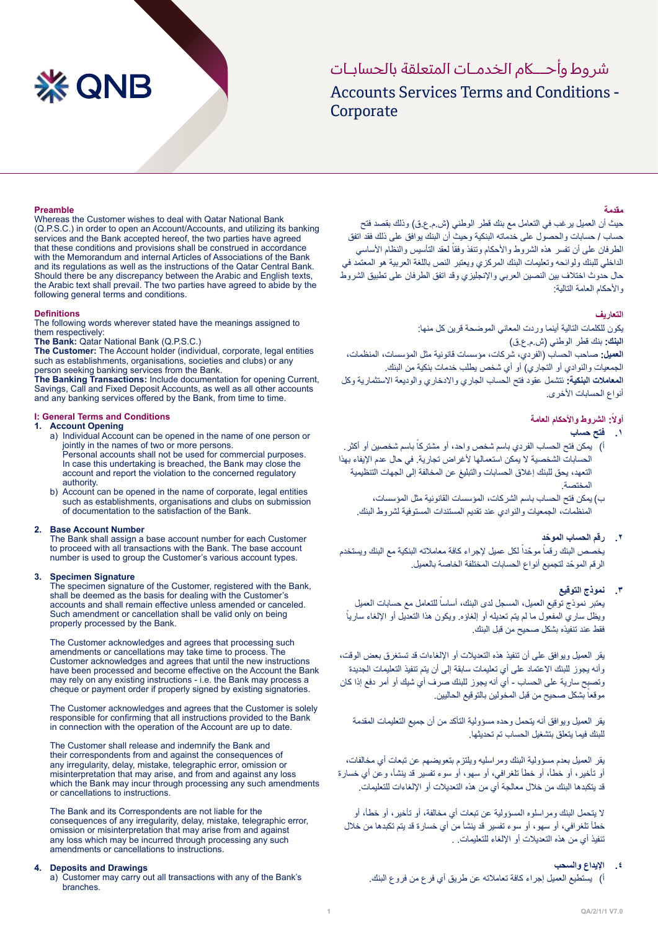# **XX QNB**

# Accounts Services Terms and Conditions -Corporate شر وط وأحــاكم الخدمـات المتعلقة بالحسابـات

## **Preamble**

Whereas the Customer wishes to deal with Qatar National Bank (Q.P.S.C.) in order to open an Account/Accounts, and utilizing its banking services and the Bank accepted hereof, the two parties have agreed that these conditions and provisions shall be construed in accordance with the Memorandum and internal Articles of Associations of the Bank and its regulations as well as the instructions of the Qatar Central Bank. Should there be any discrepancy between the Arabic and English texts, the Arabic text shall prevail. The two parties have agreed to abide by the following general terms and conditions.

#### **Definitions**

The following words wherever stated have the meanings assigned to them respectively:

The Bank: Qatar National Bank (Q.P.S.C.)

The Customer: The Account holder (individual, corporate, legal entities such as establishments, organisations, societies and clubs) or any person seeking banking services from the Bank.

The Banking Transactions: Include documentation for opening Current. Savings, Call and Fixed Deposit Accounts, as well as all other accounts and any banking services offered by the Bank, from time to time.

#### **L: General Terms and Conditions**

#### **Opening Account 1.**

- a) Individual Account can be opened in the name of one person or jointly in the names of two or more persons. Personal accounts shall not be used for commercial purposes. In case this undertaking is breached, the Bank may close the account and report the violation to the concerned regulatory .authority
- b) Account can be opened in the name of corporate, legal entities such as establishments, organisations and clubs on submission of documentation to the satisfaction of the Bank.

#### **Number Account Base 2.**

The Bank shall assign a base account number for each Customer to proceed with all transactions with the Bank. The base account number is used to group the Customer's various account types.

#### **Signature Specimen 3.**

The specimen signature of the Customer, registered with the Bank, shall be deemed as the basis for dealing with the Customer's accounts and shall remain effective unless amended or canceled. Such amendment or cancellation shall be valid only on being properly processed by the Bank.

The Customer acknowledges and agrees that processing such amendments or cancellations may take time to process. The Customer acknowledges and agrees that until the new instructions have been processed and become effective on the Account the Bank may rely on any existing instructions - i.e. the Bank may process a cheque or payment order if properly signed by existing signatories.

The Customer acknowledges and agrees that the Customer is solely responsible for confirming that all instructions provided to the Bank in connection with the operation of the Account are up to date.

The Customer shall release and indemnify the Bank and their correspondents from and against the consequences of any irregularity, delay, mistake, telegraphic error, omission or misinterpretation that may arise, and from and against any loss which the Bank may incur through processing any such amendments or cancellations to instructions.

The Bank and its Correspondents are not liable for the consequences of any irregularity, delay, mistake, telegraphic error, omission or misinterpretation that may arise from and against any loss which may be incurred through processing any such amendments or cancellations to instructions.

#### **4.** Deposits and Drawings

a) Customer may carry out all transactions with any of the Bank's .branches

## **مقدمة**

حيث أن العميل يرغب في التعامل مع بنك قطر الوطني (ش.م.ع.ق) وذلك بقصد فتح حساب / حسابات والحصول على خدماته البنكية وحيث أن البنك يوافق على ذلك فقد اتفق الطرفان على أن تفسر هذه الشروط والأحكام وتنفذ وفقاً لعقد التأسيس والنظام الأساسي الداخلي للبنك ولوائحه وتعليمات البنك المركزي ويعتبر النص باللغة العربية هو المعتمد في حال حدوث اختالف بين النصين العربي واإلنجليزي وقد اتفق الطرفان على تطبيق الشروط واألحكام العامة التالية:

## **التعاريف**

يكون للكلمات التالية أينما وردت المعاني الموضحة قرين كل منها: **البنك:** بنك قطر الوطني )ش.م.ع.ق( **العميل:** صاحب الحساب )الفردي، شركات، مؤسسات قانونية مثل المؤسسات، المنظمات، الجمعيات والنوادي أو التجاري( أو أي شخص يطلب خدمات بنكية من البنك. **المعامالت البنكية:** ئتشمل عقود فتح الحساب الجاري واالدخاري والوديعة االستثمارية وكل أنواع الحسابات الأخرى.

## **ً أوال: الشروط واألحكام العامة**

- **.١ فتح حساب**
- ا) بمكن فتح الحساب الفردي باسم شخص واحد، أو مشتركاً باسم شخصين أو أكثر . الحسابات الشخصية ال يمكن استعمالها ألغراض تجارية. في حال عدم اإليفاء بهذا التعهد، يحق للبنك إغالق الحسابات والتبليغ عن المخالفة إلى الجهات التنظيمية المختصة.
	- ب) يمكن فتح الحساب باسم الشركات، المؤسسات القانونية مثل المؤسسات، المنظمات، الجمعيات والنوادي عند تقديم المستندات المستوفية لشروط البنك.

## **.٢ ّ رقم الحساب الموحد**

بخصص البنك رقماً موحّداً لكل عميل لإجراء كافة معاملاته البنكية مع البنك ويستخدم ًّ الرقم الموحد لتجميع أنواع الحسابات المختلفة الخاصة بالعميل.

## **.٣ نموذج التوقيع**

بعتبر نموذج توقيع العميل، المسجل لدى البنك، أساساً للتعامل مع حسابات العميل ً ويظل ساري المفعول ما لم يتم تعديله أو إلغاؤه. ويكون هذا التعديل أو اإللغاء ساريا فقط عند تنفيذه بشكل صحيح من قبل البنك.

يقر العميل ويوافق على أن تنفيذ هذه التعديالت أو اإللغاءات قد تستغرق بعض الوقت، وأنه يجوز للبنك االعتماد على أي تعليمات سابقة إلى أن يتم تنفيذ التعليمات الجديدة وتصبح سارية على الحساب - أي أنه يجوز للبنك صرف أي شيك أو أمر دفع إذا كان موقعاً بشكل صحيح من قبل المخولين بالتوقيع الحاليين.

يقر العميل ويوافق أنه يتحمل وحده مسؤولية التأكد من أن جميع التعليمات المقدمة للبنك فيما يتعلق بتشغيل الحساب تم تحديثها.

يقر العميل بعدم مسؤولية البنك ومراسليه ويلتزم بتعويضهم عن تبعات أي مخالفات، أو تأخير، أو خطأ، أو خطأ تلغرافي، أو سهو، أو سوء تفسير قد ينشأ، وعن أي خسارة قد يتكبدها البنك من خالل معالجة أي من هذه التعديالت أو اإللغاءات للتعليمات.

ال يتحمل البنك ومراسلوه المسؤولية عن تبعات أي مخالفة، أو تأخير، أو خطأ، أو خطأ تلغرافي، أو سهو، أو سوء تفسير قد ينشأ من أي خسارة قد يتم تكبدها من خالل تنفيذ أي من هذه التعديالت أو اإللغاء للتعليمات. .

## **.٤ اإليداع والسحب**

أ( يستطيع العميل إجراء كافة تعامالته عن طريق أي فرع من فروع البنك.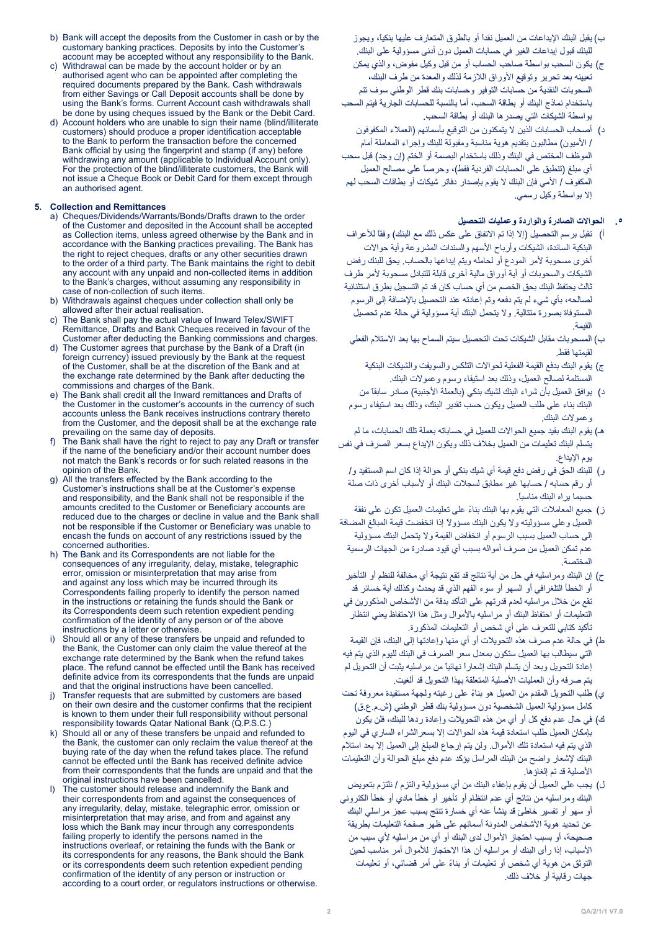- b) Bank will accept the deposits from the Customer in cash or by the customary banking practices. Deposits by into the Customer's account may be accepted without any responsibility to the Bank.
- c) Withdrawal can be made by the account holder or by an authorised agent who can be appointed after completing the required documents prepared by the Bank. Cash withdrawals from either Savings or Call Deposit accounts shall be done by using the Bank's forms. Current Account cash withdrawals shall be done by using cheques issued by the Bank or the Debit Card
- d) Account holders who are unable to sign their name (blind/illiterate customers) should produce a proper identification acceptable to the Bank to perform the transaction before the concerned Bank official by using the fingerprint and stamp (if any) before withdrawing any amount (applicable to Individual Account only) For the protection of the blind/illiterate customers, the Bank will not issue a Cheque Book or Debit Card for them except through an authorised agent.

#### **Remittances and Collection 5.**

- a) Cheques/Dividends/Warrants/Bonds/Drafts drawn to the order of the Customer and deposited in the Account shall be accepted as Collection items, unless agreed otherwise by the Bank and in accordance with the Banking practices prevailing. The Bank has the right to reject cheques, drafts or any other securities drawn to the order of a third party. The Bank maintains the right to debit any account with any unpaid and non-collected items in addition to the Bank's charges, without assuming any responsibility in case of non-collection of such items.
- b) Withdrawals against cheques under collection shall only be allowed after their actual realisation.
- The Bank shall pay the actual value of Inward Telex/SWIFT Remittance, Drafts and Bank Cheques received in favour of the Customer after deducting the Banking commissions and charges.
- d) The Customer agrees that purchase by the Bank of a Draft (in foreign currency) issued previously by the Bank at the request of the Customer, shall be at the discretion of the Bank and at the exchange rate determined by the Bank after deducting the commissions and charges of the Bank
- e) The Bank shall credit all the Inward remittances and Drafts of the Customer in the customer's accounts in the currency of such accounts unless the Bank receives instructions contrary thereto from the Customer, and the deposit shall be at the exchange rate prevailing on the same day of deposits
- f) The Bank shall have the right to reject to pay any Draft or transfer if the name of the beneficiary and/or their account number does not match the Bank's records or for such related reasons in the opinion of the Bank.
- All the transfers effected by the Bank according to the Customer's instructions shall be at the Customer's expense and responsibility, and the Bank shall not be responsible if the amounts credited to the Customer or Beneficiary accounts are reduced due to the charges or decline in value and the Bank shall not be responsible if the Customer or Beneficiary was unable to encash the funds on account of any restrictions issued by the concerned authorities.
- h) The Bank and its Correspondents are not liable for the consequences of any irregularity, delay, mistake, telegraphic error, omission or misinterpretation that may arise from and against any loss which may be incurred through its Correspondents failing properly to identify the person named in the instructions or retaining the funds should the Bank or its Correspondents deem such retention expedient pending confirmation of the identity of any person or of the above instructions by a letter or otherwise.
- Should all or any of these transfers be unpaid and refunded to the Bank, the Customer can only claim the value thereof at the exchange rate determined by the Bank when the refund takes place. The refund cannot be effected until the Bank has received definite advice from its correspondents that the funds are unpaid and that the original instructions have been cancelled.
- i) Transfer requests that are submitted by customers are based on their own desire and the customer confirms that the recipient is known to them under their full responsibility without personal responsibility towards Qatar National Bank (Q.P.S.C.)
- $k$ ) Should all or any of these transfers be unpaid and refunded to the Bank, the customer can only reclaim the value thereof at the buying rate of the day when the refund takes place. The refund cannot be effected until the Bank has received definite advice from their correspondents that the funds are unpaid and that the original instructions have been cancelled.
- I) The customer should release and indemnify the Bank and their correspondents from and against the consequences of any irregularity, delay, mistake, telegraphic error, omission or misinterpretation that may arise, and from and against any loss which the Bank may incur through any correspondents failing properly to identify the persons named in the instructions overleaf, or retaining the funds with the Bank or its correspondents for any reasons, the Bank should the Bank or its correspondents deem such retention expedient pending confirmation of the identity of any person or instruction or according to a court order, or regulators instructions or otherwise.

ب) يقبل البنك الإيداعات من العميل نقداً أو بالطرق المتعار ف عليها بنكياً، ويجوز للبنك قبول إيداعات الغير في حسابات العميل دون أدنى مسؤولية على البنك.

- ج) يكون السحب بواسطة صاحب الحساب أو من قبل وكيل مفوض، والذي يمكن تعيينه بعد تحرير وتوقيع األوراق الالزمة لذلك والمعدة من طرف البنك، السحوبات النقدية من حسابات التوفير وحسابات بنك قطر الوطني سوف تتم باستخدام نماذج البنك أو بطاقة السحب، أما بالنسبة للحسابات الجارية فيتم السحب بواسطة الشيكات التي يصدرها البنك أو بطاقة السحب.
- د) أصحاب الحسابات الذين لا يتمكنون من التوقيع بأسمائهم (العملاء المكفوفون / األميون( مطالبون بتقديم هوية مناسبة ومقبولة للبنك وإجراء المعاملة أمام الموظف المختص في البنك وذلك باستخدام البصمة أو الختم (إن وجد) قبل سحب أي مبلغ (تنطبق على الحسابات الفردية فقط)، وحرصاً على مصالح العميل المكفوف / األمي فإن البنك ال يقوم بإصدار دفاتر شيكات أو بطاقات السحب لهم إال بواسطة وكيل رسمي.

## **.٥ الحواالت الصادرة والواردة وعمليات التحصيل**

- أ) تقبل برسم التحصيل (إلا إذا تم الاتفاق على عكس ذلك مع البنك) وفقاً للأعراف البنكية السائدة، الشيكات وأرباح الأسهم والسندات المشروعة وأية حوالات أخرى مسحوبة لأمر المودع أو لحامله ويتم إيداعها بالحساب. يحق للبنك رفض الشيكات والسحوبات أو أية أوراق مالية أخرى قابلة للتبادل مسحوبة ألمر طرف ثالث يحتفظ البنك بحق الخصم من أي حساب كان قد تم التسجيل بطرق استثنائية لصالحه، بأي شيء لم يتم دفعه وتم إعادته عند التحصيل باإلضافة إلى الرسوم المستوفاة بصورة متتالية. وال يتحمل البنك أية مسؤولية في حالة عدم تحصيل القيمة.
- ب) المسحوبات مقابل الشيكات تحت التحصيل سيتم السماح بها بعد الاستلام الفعلي لقيمتها فقط.
	- ج) يقوم البنك بدفع القيمة الفعلية لحوالات التلكس والسويفت والشيكات البنكية المستلمة لصالح العميل، وذلك بعد استيفاء رسوم وعموالت البنك.
- د) يوافق العميل بأن شراء البنك لشيك بنكي (بالعملة الأجنبية) صادر سابقاً من البنك بناء على طلب العميل ويكون حسب تقدير البنك، وذلك بعد استيفاء رسوم وعموالت البنك.
- هـ) يقوم البنك بقيد جميع الحوالات للعميل في حساباته بعملة تلك الحسابات، ما لم يتسلم البنك تعليمات من العميل بخالف ذلك ويكون اإليداع بسعر الصرف في نفس يوم اإليداع.
	- و( للبنك الحق في رفض دفع قيمة أي شيك بنكي أو حوالة إذا كان اسم المستفيد و/ أو رقم حسابه / حسابها غير مطابق لسجالت البنك أو ألسباب أخرى ذات صلة حسبما يراه البنك مناسبا.ً
- ز) جميع المعاملات التي يقوم بها البنك بناءً على تعليمات العميل تكون على نفقة العميل وعلى مسؤوليته وال يكون البنك مسؤوالً إذا انخفضت قيمة المبالغ المضافة إلى حساب العميل بسبب الرسوم أو انخفاض القيمة وال يتحمل البنك مسؤولية عدم تمكن العميل من صرف أمواله بسبب أي قيود صادرة من الجهات الرسمية المختصة.
- ح) إن البنك ومراسليه في حل من أية نتائج قد تقع نتيجة أي مخالفة للنظم أو التأخير أو الخطأ التلغرافي أو السهو أو سوء الفهم الذي قد يحدث وكذلك أية خسائر قد تقع من خلال مر اسليه لعدم قدرتهم على التأكد بدقة من الأشخاص المذكورين في التعليمات أو احتفاظ البنك أو مراسليه باألموال ومثل هذا االحتفاظ يعني انتظار تأكيد كتابي للتعرف على أي شخص أو التعليمات المذكورة.
- ط) في حالة عدم صرف هذه التحويلات أو أي منها وإعادتها إلى البنك، فإن القيمة التي سيطالب بها العميل ستكون بمعدل سعر الصرف في البنك لليوم الذي يتم فيه إعادة التحويل وبعد أن يتسلم البنك إشعاراً نهائياً من مراسليه يثبت أن التحويل لم يتم صرفه وأن العمليات األصلية المتعلقة بهذا التحويل قد ألغيت.
- ي) طلب التحويل المقدم من العميل هو بناءً على رغبته ولجهة مستفيدة معروفة تحت كامل مسؤولية العميل الشخصية دون مسؤولية بنك قطر الوطني (ش.م.ع.ق)
- ك) في حال عدم دفع كل أو أي من هذه التحويلات وإعادة ردها للبنك، فلن يكون بإمكان العميل طلب استعادة قيمة هذه الحواالت إال بسعرالشراء الساري في اليوم الذي يتم فيه استعادة تلك الأموال. ولن يتم إرجاع المبلغ إلى العميل إلا بعد استلام البنك إلشعار واضح من البنك المراسل يؤكد عدم دفع مبلغ الحوالة وأن التعليمات األصلية قد تم إلغاؤها.
- ل) يجب على العميل أن يقوم بإعفاء البنك من أي مسؤولية والتزم / نلتزم بتعويض البنك ومراسليه من نتائج أي عدم انتظام أو تأخير أو خطأ مادي أو خطأ الكتروني أو سهو أو تفسير خاطئ قد ينشأ عنه أي خسارة تنتج بسبب عجز مراسلي البنك عن تحديد هوية الأشخاص المدونة أسمائهم على ظهر صفحة التعليمات بطريقة صحيحة، أو بسبب احتجاز الأموال لدى البنك أو أي من مراسليه لأي سبب من األسباب، إذا رأى البنك أو مراسليه أن هذا االحتجاز لألموال أمر مناسب لحين التوثق من هوية أي شخص أو تعليمات أو بناءً على أمر قضائي، أو تعليمات جهات رقابية أو خالف ذلك.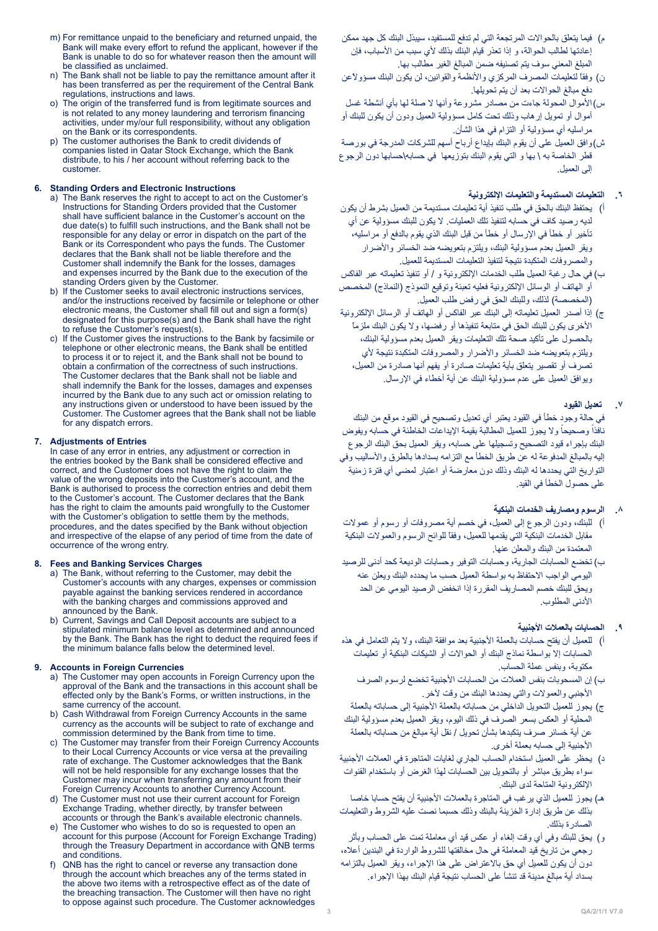- m) For remittance unpaid to the beneficiary and returned unpaid, the Bank will make every effort to refund the applicant, however if the Bank is unable to do so for whatever reason then the amount will be classified as unclaimed
- n) The Bank shall not be liable to pay the remittance amount after it has been transferred as per the requirement of the Central Bank regulations, instructions and laws
- o) The origin of the transferred fund is from legitimate sources and is not related to any money laundering and terrorism financing activities, under my/our full responsibility, without any obligation on the Bank or its correspondents.
- The customer authorises the Bank to credit dividends of companies listed in Qatar Stock Exchange, which the Bank distribute, to his / her account without referring back to the .customer

## **6.** Standing Orders and Electronic Instructions

- a) The Bank reserves the right to accept to act on the Customer's Instructions for Standing Orders provided that the Customer shall have sufficient balance in the Customer's account on the due date(s) to fulfill such instructions, and the Bank shall not be responsible for any delay or error in dispatch on the part of the Bank or its Correspondent who pays the funds. The Customer declares that the Bank shall not be liable therefore and the Customer shall indemnify the Bank for the losses, damages and expenses incurred by the Bank due to the execution of the standing Orders given by the Customer.
- b) If the Customer seeks to avail electronic instructions services, and/or the instructions received by facsimile or telephone or other electronic means, the Customer shall fill out and sign a form(s) designated for this purpose(s) and the Bank shall have the right to refuse the Customer's request(s).
- c) If the Customer gives the instructions to the Bank by facsimile or telephone or other electronic means, the Bank shall be entitled to process it or to reject it, and the Bank shall not be bound to obtain a confirmation of the correctness of such instructions. The Customer declares that the Bank shall not be liable and shall indemnify the Bank for the losses, damages and expenses incurred by the Bank due to any such act or omission relating to any instructions given or understood to have been issued by the Customer. The Customer agrees that the Bank shall not be liable for any dispatch errors.

#### **Franchilter 2.1 Adjustments of Entries**

In case of any error in entries, any adjustment or correction in the entries booked by the Bank shall be considered effective and correct, and the Customer does not have the right to claim the value of the wrong deposits into the Customer's account, and the Bank is authorised to process the correction entries and debit them to the Customer's account. The Customer declares that the Bank has the right to claim the amounts paid wrongfully to the Customer with the Customer's obligation to settle them by the methods procedures, and the dates specified by the Bank without objection and irrespective of the elapse of any period of time from the date of occurrence of the wrong entry.

#### 8. Fees and Banking Services Charges

- a) The Bank, without referring to the Customer, may debit the Customer's accounts with any charges, expenses or commission payable against the banking services rendered in accordance with the banking charges and commissions approved and announced by the Bank.
- b) Current, Savings and Call Deposit accounts are subject to a stipulated minimum balance level as determined and announced by the Bank. The Bank has the right to deduct the required fees if the minimum balance falls below the determined level.

#### **9. Accounts in Foreign Currencies**

- a) The Customer may open accounts in Foreign Currency upon the approval of the Bank and the transactions in this account shall be effected only by the Bank's Forms, or written instructions, in the same currency of the account.
- b) Cash Withdrawal from Foreign Currency Accounts in the same currency as the accounts will be subject to rate of exchange and commission determined by the Bank from time to time.
- c) The Customer may transfer from their Foreign Currency Accounts to their Local Currency Accounts or vice versa at the prevailing rate of exchange. The Customer acknowledges that the Bank will not be held responsible for any exchange losses that the Customer may incur when transferring any amount from their Foreign Currency Accounts to another Currency Account.
- d) The Customer must not use their current account for Foreign Exchange Trading, whether directly, by transfer between accounts or through the Bank's available electronic channels
- e) The Customer who wishes to do so is requested to open an account for this purpose (Account for Foreign Exchange Trading) through the Treasury Department in accordance with QNB terms and conditions.
- f) QNB has the right to cancel or reverse any transaction done through the account which breaches any of the terms stated in the above two items with a retrospective effect as of the date of the breaching transaction. The Customer will then have no right to oppose against such procedure. The Customer acknowledges
- م) فيما يتعلق بالحوالات المرتجعة التي لم تدفع للمستفيد، سيبذل البنك كل جهد ممكن إعادتها لطالب الحوالة، و إذا تعذر قيام البنك بذلك ألي سبب من األسباب، فإن المبلغ المعني سوف يتم تصنيفه ضمن المبالغ الغير مطالب بها.
- ن) وفقاً لتعليمات المصرف المركزي والأنظمة والقوانين، لن يكون البنك مسؤولاًعن دفع مبالغ الحواالت بعد أن يتم تحويلها.
- س)الأموال المحولة جاءت من مصادر مشروعة وأنها لا صلة لها بأي أنشطة غسل أموال أو تمويل إرهاب وذلك تحت كامل مسؤولية العميل ودون أن يكون للبنك أو مراسليه أي مسؤولية أو التزام في هذا الشأن.
- ش(وافق العميل على أن يقوم البنك بإيداع أرباح أسهم للشركات المدرجة في بورصة قطر الخاصة به \ بها و التي يقوم البنك بتوزيعها في حسابه\حسابها دون الرجوع إلى العميل.

## **.٦ التعليمات المستديمة والتعليمات اإللكترونية**

- أ( يحتفظ البنك بالحق في طلب تنفيذ أية تعليمات مستديمة من العميل بشرط أن يكون لديه رصيد كاف في حسابه لتنفيذ تلك العمليات. ال يكون للبنك مسؤولية عن أي تأخير أو خطأ في اإلرسال أو خطأ من قبل البنك الذي يقوم بالدفع أو مراسليه، ويقر العميل بعدم مسؤولية البنك، ويلتزم بتعويضه ضد الخسائر واألضرار والمصروفات المتكبدة نتيجة لتنفيذ التعليمات المستديمة للعميل.
- ب) في حال رغبة العميل طلب الخدمات الإلكترونية و / أو تنفيذ تعليماته عبر الفاكس أو الـهاتف أو الوسائل الإلكترونية فعليه تعبئة وتوقيع النموذج (النماذج) المخصص )المخصصة( لذلك، وللبنك الحق في رفض طلب العميل.
- ج) إذا أصدر العميل تعليماته إلى البنك عبر الفاكس أو الهاتف أو الرسائل الإلكترونية األخرى يكون للبنك الحق في متابعة تنفيذها أو رفضها، وال يكون البنك ملزماً بالحصول على تأكيد صحة تلك التعليمات ويقر العميل بعدم مسؤولية البنك، ويلتزم بتعويضه ضد الخسائر والأضرار والمصروفات المتكبدة نتيجة لأي تصرف أو تقصير يتعلق بأية تعليمات صادرة أو يفهم أنها صادرة من العميل، ويوافق العميل على عدم مسؤولية البنك عن أية أخطاء في اإلرسال.

## **.٧ تعديل القيود**

في حالة وجود خطأ في القيود يعتبر أي تعديل وتصحيح في القيود موقع من البنك نافذاً وصحيحاً ولا يجوز للعميل المطالبة بقيمة الإيداعات الخاطئة في حسابه ويفوض البنك بإجراء قيود التصحيح وتسجيلها على حسابه، ويقر العميل بحق البنك الرجوع إليه بالمبالغ المدفوعة له عن طريق الخطأ مع التزامه بسدادها بالطرق والأساليب وفي التواريخ التي يحددها له البنك وذلك دون معارضة أو اعتبار لمضي أي فترة زمنية على حصول الخطأ في القيد.

## **.٨ الرسوم ومصاريف الخدمات البنكية**

- أ) للبنك، ودون الرجوع إلى العميل، في خصم أية مصروفات أو رسوم أو عمولات مقابل الخدمات البنكية التي يقدمها للعميل، وفقاً للوائح الرسوم والعموالت البنكية المعتمدة من البنك والمعلن عنها.
- ب) تخضع الحسابات الجارية، وحسابات التوفير وحسابات الوديعة كحد أدنى للرصيد اليومي الواجب االحتفاظ به بواسطة العميل حسب ما يحدده البنك ويعلن عنه ويحق للبنك خصم المصاريف المقررة إذا انخفض الرصيد اليومي عن الحد الأدنى المطلوب.

## **.٩ الحسابات بالعمالت األجنبية**

- أ) للعميل أن يفتح حسابات بالعملة الأجنبية بعد موافقة البنك، ولا يتم التعامل في هذه الحسابات إال بواسطة نماذج البنك أو الحواالت أو الشيكات البنكية أو تعليمات مكتوبة، وبنفس عملة الحساب.
	- ب) إن المسحوبات بنفس العملات من الحسابات الأجنبية تخضع لرسوم الصرف األجنبي والعموالت والتي يحددها البنك من وقت آلخر.
- ج) يجوز للعميل التحويل الداخلي من حساباته بالعملة الأجنبية إلى حساباته بالعملة المحلية أو العكس بسعر الصرف في ذلك اليوم، ويقر العميل بعدم مسؤولية البنك عن أية خسائر صرف يتكبدها بشأن تحويل / نقل أية مبالغ من حساباته بالعملة الأجنبية إلى حسابه بعملة أخرى.
- د) يحظر على العميل استخدام الحساب الجاري لغايات المتاجرة في العملات الأجنبية سواء بطريق مباشر أو بالتحويل بين الحسابات لهذا الغرض أو باستخدام القنوات اإللكترونية المتاحة لدى البنك.
- هـ) يجوز للعميل الذي يرغب في المتاجرة بالعملات الأجنبية أن يفتح حسابا خاصا بذلك عن طريق إدارة الخزينة بالبنك وذلك حسبما نصت عليه الشروط والتعليمات الصادرة بذلك.
- و( يحق للبنك وفي أي وقت إلغاء أو عكس قيد أي معاملة تمت على الحساب وبأثر رجعي من تاريخ قيد المعاملة في حال مخالفتها للشروط الواردة في البندين أعاله، دون أن يكون للعميل أي حق باالعتراض على هذا اإلجراء، ويقر العميل بالتزامه بسداد أية مبالغ مدينة قد تنشأ على الحساب نتيجة قيام البنك بهذا اإلجراء.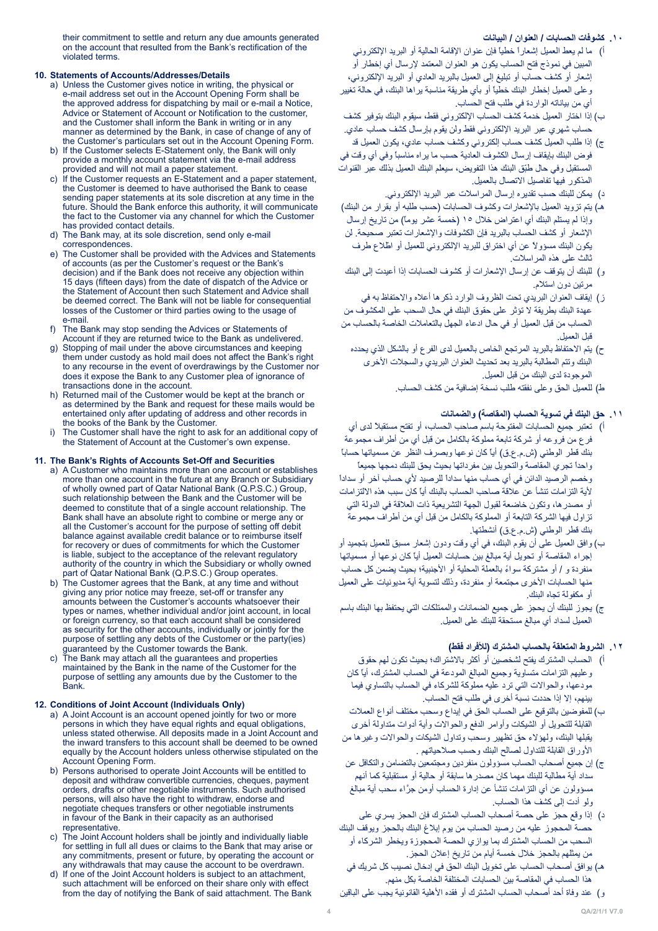## **.١٠ كشوفات الحسابات / العنوان / البيانات**

their commitment to settle and return any due amounts generated on the account that resulted from the Bank's rectification of the violated terms.

#### **10. Statements of Accounts/Addresses/Details**

- a) Unless the Customer gives notice in writing, the physical or e-mail address set out in the Account Opening Form shall be the approved address for dispatching by mail or e-mail a Notice, Advice or Statement of Account or Notification to the customer, and the Customer shall inform the Bank in writing or in any manner as determined by the Bank, in case of change of any of the Customer's particulars set out in the Account Opening Form.
- b) If the Customer selects E-Statement only, the Bank will only provide a monthly account statement via the e-mail address provided and will not mail a paper statement.
- c) If the Customer requests an E-Statement and a paper statement, the Customer is deemed to have authorised the Bank to cease sending paper statements at its sole discretion at any time in the future. Should the Bank enforce this authority, it will communicate the fact to the Customer via any channel for which the Customer has provided contact details.
- d) The Bank may, at its sole discretion, send only e-mail .correspondences
- The Customer shall be provided with the Advices and Statements of accounts (as per the Customer's request or the Bank's decision) and if the Bank does not receive any objection within 15 days (fifteen days) from the date of dispatch of the Advice or the Statement of Account then such Statement and Advice shall be deemed correct. The Bank will not be liable for consequential losses of the Customer or third parties owing to the usage of e-mail
- f) The Bank may stop sending the Advices or Statements of Account if they are returned twice to the Bank as undelivered.
- g) Stopping of mail under the above circumstances and keeping them under custody as hold mail does not affect the Bank's right to any recourse in the event of overdrawings by the Customer nor does it expose the Bank to any Customer plea of ignorance of transactions done in the account
- h) Returned mail of the Customer would be kept at the branch or as determined by the Bank and request for these mails would be entertained only after updating of address and other records in the books of the Bank by the Customer.
- i) The Customer shall have the right to ask for an additional copy of the Statement of Account at the Customer's own expense.

## 11. The Bank's Rights of Accounts Set-Off and Securities

- a) A Customer who maintains more than one account or establishes more than one account in the future at any Branch or Subsidiary of wholly owned part of Qatar National Bank (Q.P.S.C.) Group, such relationship between the Bank and the Customer will be deemed to constitute that of a single account relationship. The Bank shall have an absolute right to combine or merge any or all the Customer's account for the purpose of setting off debit balance against available credit balance or to reimburse itself for recovery or dues of commitments for which the Customer is liable, subject to the acceptance of the relevant regulatory authority of the country in which the Subsidiary or wholly owned part of Qatar National Bank (Q.P.S.C.) Group operates.
- b) The Customer agrees that the Bank, at any time and without giving any prior notice may freeze, set-off or transfer any amounts between the Customer's accounts whatsoever their types or names, whether individual and/or joint account, in local or foreign currency, so that each account shall be considered as security for the other accounts, individually or jointly for the purpose of settling any debts of the Customer or the party(ies) quaranteed by the Customer towards the Bank.
- c) The Bank may attach all the guarantees and properties maintained by the Bank in the name of the Customer for the purpose of settling any amounts due by the Customer to the .Bank

#### **12. Conditions of Joint Account (Individuals Only)**

- a) A Joint Account is an account opened jointly for two or more persons in which they have equal rights and equal obligations, unless stated otherwise. All deposits made in a Joint Account and the inward transfers to this account shall be deemed to be owned equally by the Account holders unless otherwise stipulated on the Account Opening Form.
- b) Persons authorised to operate Joint Accounts will be entitled to deposit and withdraw convertible currencies, cheques, payment orders, drafts or other negotiable instruments. Such authorised persons, will also have the right to withdraw, endorse and negotiate cheques transfers or other negotiable instruments in favour of the Bank in their capacity as an authorised .representative
- The Joint Account holders shall be jointly and individually liable for settling in full all dues or claims to the Bank that may arise or any commitments, present or future, by operating the account or any withdrawals that may cause the account to be overdrawn.
- d) If one of the Joint Account holders is subject to an attachment, such attachment will be enforced on their share only with effect from the day of notifying the Bank of said attachment. The Bank
- أ( ما لم يعط العميل إشعاراً خطياً فإن عنوان اإلقامة الحالية أو البريد اإللكتروني المبين في نموذج فتح الحساب يكون هو العنوان المعتمد إلرسال أي إخطار أو إشعار أو كشف حساب أو تبليغ إلى العميل بالبريد العادي أو البريد اإللكتروني، وعلى العميل إخطار البنك خطياً أو بأي طريقة مناسبة يراها البنك، في حالة تغيير أي من بياناته الواردة في طلب فتح الحساب.
- ب) إذا اختار العميل خدمة كشف الحساب الإلكتروني فقط، سيقوم البنك بتوفير كشف حساب شهري عبر البريد اإللكتروني فقط ولن يقوم بإرسال كشف حساب عادي.
- ج) إذا طلب العميل كشف حساب إلكتروني وكشف حساب عادي، يكون العميل قد فوض البنك بإيقاف إرسال الكشوف العادية حسب ما يراه مناسباً وفي أي وقت في المستقبل وفي حال طبّق البنك هذا التفويض، سيعلم البنك العميل بذلك عبر القنوات المذكور فيها تفاصيل االتصال بالعميل.
	- د) يمكن للبنك حسب تقديره إرسال المراسلات عبر البريد الإلكتروني.
- هـ) يتم تزويد العميل بالإشعارات وكشوف الحسابات (حسب طلبه أو بقرار من البنك) وإذا لم يستلم البنك أي اعتراض خلال ١٥ (خمسة عشر يوماً) من تاريخ إرسال اإلشعار أو كشف الحساب بالبريد فإن الكشوفات واإلشعارات تعتبر صحيحة. لن يكون البنك مسؤولاً عن أي اختراق للبريد الإلكتروني للعميل أو اطّلاع طرف ثالث على هذه المراسالت.
- و( للبنك أن يتوقف عن إرسال اإلشعارات أو كشوف الحسابات إذا أعيدت إلى البنك مرتين دون استالم.
- ز( إيقاف العنوان البريدي تحت الظروف الوارد ذكرها أعاله واالحتفاظ به في عهدة البنك بطريقة ال تؤثر على حقوق البنك في حال السحب على المكشوف من الحساب من قبل العميل أو في حال ادعاء الجهل بالتعامالت الخاصة بالحساب من قبل العميل.
	- ح) يتم الاحتفاظ بالبريد المرتجع الخاص بالعميل لدى الفرع أو بالشكل الذي يحدده البنك وتتم المطالبة بالبريد بعد تحديث العنوان البريدي والسجالت األخرى الموجودة لدى البنك من قبل العميل.
		- ط) للعميل الحق وعلى نفقته طلب نسخة إضافية من كشف الحساب.

## **.١١ حق البنك في تسوية الحساب )المقاصة( والضمانات**

- أ( تعتبر جميع الحسابات المفتوحة باسم صاحب الحساب، أو تفتح مستقبالً لدى أي فرع من فروعه أو شركة تابعة مملوكة بالكامل من قبل أي من أطراف مجموعة بنك قطر الوطني (ش.م.ع.ق) أياً كان نوعها وبصرف النظر عن مسمياتها حساباً واحداً تجري المقاصة والتحويل بين مفرداتها بحيث يحق للبنك دمجها جميعاً وخصم الرصيد الدائن في أي حساب منها سداداً للرصيد ألي حساب آخر أو سداداً ألية التزامات تنشأ عن عالقة صاحب الحساب بالبنك أياً كان سبب هذه االلتزامات أو مصدرها، وتكون خاضعة لقبول الجهة التشريعية ذات العالقة في الدولة التي تزاول فيها الشركة التابعة أو المملوكة بالكامل من قبل أي من أطراف مجموعة بنك قطر الوطني )ش.م.ع.ق( أنشطتها.
- ب) وافق العميل على أن يقوم البنك، في أي وقت ودون إشعار مسبق للعميل بتجميد أو إجراء المقاصة أو تحويل أية مبالغ بين حسابات العميل أياً كان نوعها أو مسمياتها منفردة و / أو مشتركة سواءً بالعملّة المحلية أو الأجنبية؛ بحيث يضمن كل حساب منها الحسابات الأخرى مجتمعة أو منفردة، وذلك لتسوية أية مديونيات على العميل أو مكفولة تجاه البنك.
- ج) يجوز للبنك أن يحجز على جميع الضمانات والممتلكات التي يحتفظ بها البنك باسم العميل لسداد أي مبالغ مستحقة للبنك على العميل.

## **.١٢ الشروط المتعلقة بالحساب المشترك )لألفراد فقط(**

- أ( الحساب المشترك يفتح لشخصين أو أكثر باالشتراك؛ بحيث تكون لهم حقوق وعليهم التزامات متساوية وجميع المبالغ المودعة في الحساب المشترك، أياً كان مودعها، والحواالت التي ترد عليه مملوكة للشركاء في الحساب بالتساوي فيما بينهم، إال إذا حددت نسبة أخرى في طلب فتح الحساب.
- ب) للمفوضين بالتوقيع على الحساب الحق في إيداع وسحب مختلف أنواع العملات القابلة للتحويل أو الشيكات وأوامر الدفع والحواالت وأية أدوات متداولة أخرى يقبلها البنك، ولهؤالء حق تظهير وسحب وتداول الشيكات والحواالت وغيرها من األوراق القابلة للتداول لصالح البنك وحسب صالحياتهم .
- ج) إن جميع أصحاب الحساب مسؤولون منفردين ومجتمعين بالتضامن والتكافل عن سداد أية مطالبة للبنك مهما كان مصدرها سابقة أو حالية أو مستقبلية كما أنهم مسؤولون عن أي التزامات تنشأ عن إدارة الحساب أومن جرَّاء سحب أية مبالغ ولو أدت إلى كشف هذا الحساب.
- د) إذا وقع حجز على حصة أصحاب الحساب المشترك فإن الحجز يسري على حصة المحجوز عليه من رصيد الحساب من يوم إبالغ البنك بالحجز ويوقف البنك السحب من الحساب المشترك بما يوازي الحصة المحجوزة ويخطر الشركاء أو من يمثلهم بالحجز خالل خمسة أيام من تاريخ إعالن الحجز.
- هـ) يوافق أصحاب الحساب على تخويل البنك الحق في إدخال نصيب كل شريك في هذا الحساب في المقاصة بين الحسابات المختلفة الخاصة بكل منهم.
- و ) عند وفاة أحد أصحاب الحساب المشترك أو فقده الأهلية القانونية يجب على الباقين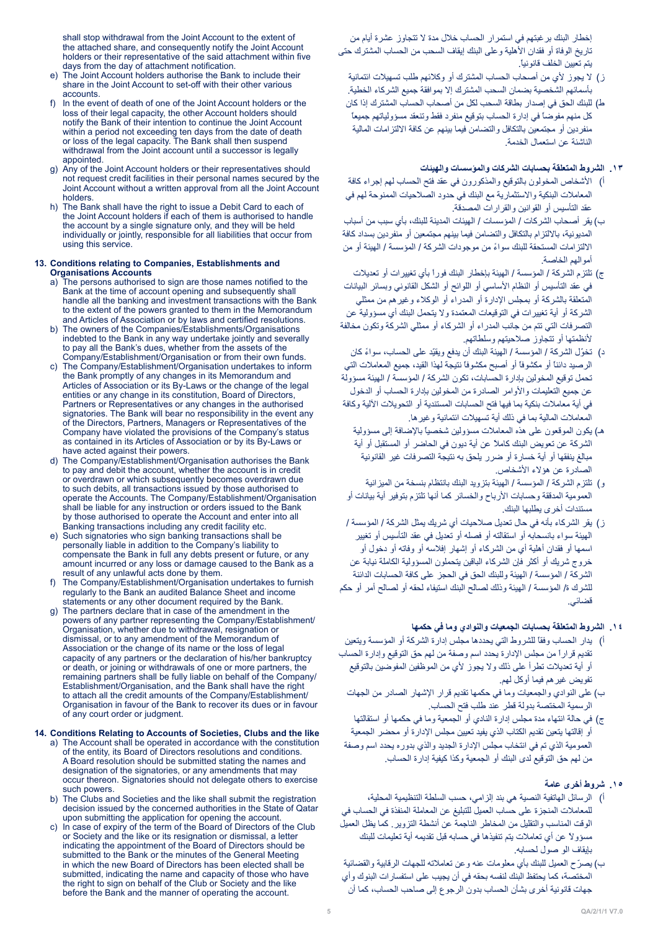إخطار البنك برغبتهم في استمرار الحساب خالل مدة ال تتجاوز عشرة أيام من تاريخ الوفاة أو فقدان الأهلية وعلى البنك إيقاف السحب من الحساب المشترك حتى يتم تعيين الخلف قانونيا.ً

- ز) لا يجوز لأي من أصحاب الحساب المشترك أو وكلائهم طلب تسهيلات ائتمانية بأسمائهم الشخصية بضمان السحب المشترك إال بموافقة جميع الشركاء الخطية.
- ط) للبنك الحق في إصدار بطاقة السحب لكل من أصحاب الحساب المشترك إذا كان كل منهم مفوضاً في إدارة الحساب بتوقيع منفرد فقط وتنعقد مسؤولياتهم جميعاً منفردين أو مجتمعين بالتكافل والتضامن فيما بينهم عن كافة االلتزامات المالية الناشئة عن استعمال الخدمة.

## **.١٣ الشروط المتعلقة بحسابات الشركات والمؤسسات والهيئات**

- أ) الأشخاص المخولون بالتوقيع والمذكورون في عقد فتح الحساب لهم إجراء كافة المعامالت البنكية واالستثمارية مع البنك في حدود الصالحيات الممنوحة لهم في عقد التأسيس أو القوانين والقرارات المصدقة.
- ب) يقر أصحاب الشركات / المؤسسات / الهيئات المدينة للبنك، بأي سبب من أسباب المديونية، بااللتزام بالتكافل والتضامن فيما بينهم مجتمعين أو منفردين بسداد كافة االلتزامات المستحقة للبنك سواءً من موجودات الشركة / المؤسسة / الهيئة أو من أموالهم الخاصة.
- ج) تلتزم الشركة / المؤسسة / الهيئة بإخطار البنك فوراً بأي تغييرات أو تعديلات في عقد التأسيس أو النظام األساسي أو اللوائح أو الشكل القانوني وبسائر البيانات المتعلقة بالشركة أو بمجلس اإلدارة أو المدراء أو الوكالء وغيرهم من ممثلي الشركة أو أية تغييرات في التوقيعات المعتمدة وال يتحمل البنك أي مسؤولية عن التصرفات التي تتم من جانب المدراء أو الشركاء أو ممثلي الشركة وتكون مخالفة ألنظمتها أو تتجاوز صالحيتهم وسلطاتهم.
- د) تخوّل الشركة / المؤسسة / الهيئة البنك أن يدفع ويقيّد على الحساب، سواءً كان الرصيد دائناً أو مكشوفاً أو أصبح مكشوفاً نتيجة لهذا القيد، جميع المعامالت التي تحمل توقيع المخولين بإدارة الحسابات، تكون الشركة / المؤسسة / الهيئة مسؤولة عن جميع التعليمات واألوامر الصادرة من المخولين بإدارة الحساب أو الدخول في أية معامالت بنكية بما فيها فتح الحسابات المستندية أو التحويالت اآللية وكافة المعامالت المالية بما في ذلك أية تسهيالت ائتمانية وغيرها.
	- هـ) يكون الموقعون على هذه المعاملات مسؤولين شخصياً بالإضافة إلى مسؤولية الشركة عن تعويض البنك كامالً عن أية ديون في الحاضر أو المستقبل أو أية مبالغ ينفقها أو أية خسارة أو ضرر يلحق به نتيجة التصرفات غير القانونية الصادرة عن هؤالء األشخاص.
- و( تلتزم الشركة / المؤسسة / الهيئة بتزويد البنك بانتظام بنسخة من الميزانية العمومية المدققة وحسابات األرباح والخسائر كما أنها تلتزم بتوفير أية بيانات أو مستندات أخرى يطلبها البنك.
- ز) يقر الشركاء بأنه في حال تعديل صلاحيات أي شريك يمثل الشركة / المؤسسة / الهيئة سواء بانسحابه أو استقالته أو فصله أو تعديل في عقد التأسيس أو تغيير اسمها أو فقدان أهلية أي من الشركاء أو إشهار إفالسه أو وفاته أو دخول أو خروج شريك أو أكثر فإن الشركاء الباقين يتحملون المسؤولية الكاملة نيابة عن الشركة / المؤسسة / الهيئة وللبنك الحق في الحجز على كافة الحسابات الدائنة للشرك ة/ المؤسسة / الهيئة وذلك لصالح البنك استيفاء لحقه أو لصالح أمر أو حكم قضائي.

# **.١4 الشروط المتعلقة بحسابات الجمعيات والنوادي وما في حكمها**

- أ( يدار الحساب وفقاً للشروط التي يحددها مجلس إدارة الشركة أو المؤسسة ويتعين تقديم قراراً من مجلس اإلدارة يحدد اسم وصفة من لهم حق التوقيع وإدارة الحساب أو أية تعديالت تطرأ على ذلك وال يجوز ألي من الموظفين المفوضين بالتوقيع تفويض غيرهم فيما أوكل لهم.
	- ب) على النوادي والجمعيات وما في حكمها تقديم قرار الإشهار الصادر من الجهات الرسمية المختصة بدولة قطر عند طلب فتح الحساب.
- ج) في حالة انتهاء مدة مجلس إدارة النادي أو الجمعية وما في حكمها أو استقالتها أو إقالتها يتعين تقديم الكتاب الذي يفيد تعيين مجلس اإلدارة أو محضر الجمعية العمومية الذي تم في انتخاب مجلس اإلدارة الجديد والذي بدوره يحدد اسم وصفة من لهم حق التوقيع لدى البنك أو الجمعية وكذا كيفية إدارة الحساب.

# **.15 شروط أخرى عامة**

- أ( الرسائل الهاتفية النصية هي بند إلزامي، حسب السلطة التنظيمية المحلية، للمعامالت المنجزة على حساب العميل للتبليغ عن المعاملة المنفذة في الحساب في الوقت المناسب والتقليل من المخاطر الناجمة عن أنشطة التزوير. كما يظل العميل مسؤوالً عن أي تعامالت يتم تنفيذها في حسابه قبل تقديمه أية تعليمات للبنك بإيقاف الو صول لحسابه.
- ب) يصرّح العميل للبنك بأي معلومات عنه وعن تعاملاته للجهات الرقابية والقضائية المختصة، كما يحتفظ البنك لنفسه بحقه في أن يجيب على استفسارات البنوك وأي جهات قانونية أخرى بشأن الحساب بدون الرجوع إلى صاحب الحساب، كما أن

shall stop withdrawal from the Joint Account to the extent of the attached share, and consequently notify the Joint Account holders or their representative of the said attachment within five days from the day of attachment notification.

- e) The Joint Account holders authorise the Bank to include their share in the Joint Account to set-off with their other various .accounts
- f) In the event of death of one of the Joint Account holders or the loss of their legal capacity, the other Account holders should notify the Bank of their intention to continue the Joint Account within a period not exceeding ten days from the date of death or loss of the legal capacity. The Bank shall then suspend withdrawal from the Joint account until a successor is legally .appointed
- Any of the Joint Account holders or their representatives should not request credit facilities in their personal names secured by the Joint Account without a written approval from all the Joint Account holders.
- h) The Bank shall have the right to issue a Debit Card to each of the Joint Account holders if each of them is authorised to handle the account by a single signature only, and they will be held individually or jointly, responsible for all liabilities that occur from using this service.

## 13. Conditions relating to Companies, Establishments and **Accounts**

- a) The persons authorised to sign are those names notified to the Bank at the time of account opening and subsequently shall handle all the banking and investment transactions with the Bank to the extent of the powers granted to them in the Memorandum and Articles of Association or by laws and certified resolutions.
- b) The owners of the Companies/Establishments/Organisations indebted to the Bank in any way undertake jointly and severally to pay all the Bank's dues, whether from the assets of the Company/Establishment/Organisation or from their own funds.
- c) The Company/Establishment/Organisation undertakes to inform the Bank promptly of any changes in its Memorandum and Articles of Association or its By-Laws or the change of the legal entities or any change in its constitution. Board of Directors. Partners or Representatives or any changes in the authorised signatories. The Bank will bear no responsibility in the event any of the Directors, Partners, Managers or Representatives of the Company have violated the provisions of the Company's status as contained in its Articles of Association or by its By-Laws or have acted against their powers.
- d) The Company/Establishment/Organisation authorises the Bank to pay and debit the account, whether the account is in credit or overdrawn or which subsequently becomes overdrawn due to such debits, all transactions issued by those authorised to operate the Accounts. The Company/Establishment/Organisation shall be liable for any instruction or orders issued to the Bank by those authorised to operate the Account and enter into all Banking transactions including any credit facility etc
- e) Such signatories who sign banking transactions shall be personally liable in addition to the Company's liability to compensate the Bank in full any debts present or future, or any amount incurred or any loss or damage caused to the Bank as a result of any unlawful acts done by them.
- The Company/Establishment/Organisation undertakes to furnish regularly to the Bank an audited Balance Sheet and income statements or any other document required by the Bank.
- g) The partners declare that in case of the amendment in the powers of any partner representing the Company/Establishment/ Organisation, whether due to withdrawal, resignation or dismissal, or to any amendment of the Memorandum of Association or the change of its name or the loss of legal capacity of any partners or the declaration of his/her bankruptcy or death, or joining or withdrawals of one or more partners, the remaining partners shall be fully liable on behalf of the Company/ Establishment/Organisation, and the Bank shall have the right to attach all the credit amounts of the Company/Establishment/ Organisation in favour of the Bank to recover its dues or in favour of any court order or judgment.

## **14. Conditions Relating to Accounts of Societies, Clubs and the like**

- a) The Account shall be operated in accordance with the constitution of the entity, its Board of Directors resolutions and conditions. A Board resolution should be submitted stating the names and designation of the signatories, or any amendments that may occur thereon. Signatories should not delegate others to exercise such powers.
- b) The Clubs and Societies and the like shall submit the registration decision issued by the concerned authorities in the State of Qatar upon submitting the application for opening the account.
- c) In case of expiry of the term of the Board of Directors of the Club or Society and the like or its resignation or dismissal, a letter indicating the appointment of the Board of Directors should be submitted to the Bank or the minutes of the General Meeting in which the new Board of Directors has been elected shall be submitted, indicating the name and capacity of those who have the right to sign on behalf of the Club or Society and the like before the Bank and the manner of operating the account.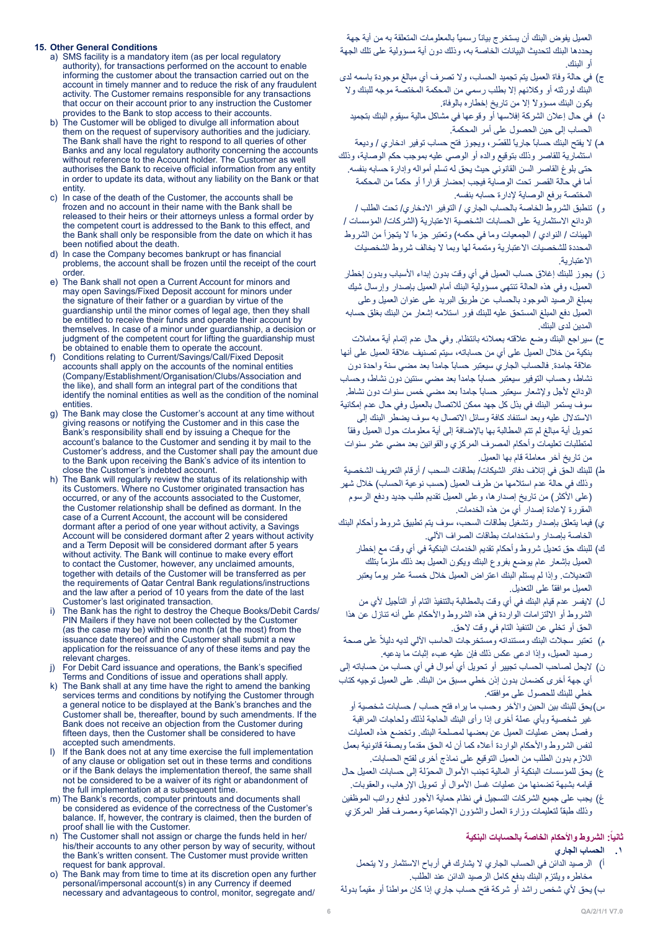#### **15. Other General Conditions**

- a) SMS facility is a mandatory item (as per local requlatory authority), for transactions performed on the account to enable informing the customer about the transaction carried out on the account in timely manner and to reduce the risk of any fraudulent activity. The Customer remains responsible for any transactions that occur on their account prior to any instruction the Customer provides to the Bank to stop access to their accounts.
- b) The Customer will be obliged to divulge all information about them on the request of supervisory authorities and the judiciary. The Bank shall have the right to respond to all queries of other Banks and any local regulatory authority concerning the accounts without reference to the Account holder. The Customer as well authorises the Bank to receive official information from any entity in order to update its data, without any liability on the Bank or that .entity
- c) In case of the death of the Customer, the accounts shall be frozen and no account in their name with the Bank shall be released to their heirs or their attorneys unless a formal order by the competent court is addressed to the Bank to this effect, and the Bank shall only be responsible from the date on which it has been notified about the death.
- d) In case the Company becomes bankrupt or has financial problems, the account shall be frozen until the receipt of the court .<br>order.
- e) The Bank shall not open a Current Account for minors and may open Savings/Fixed Deposit account for minors under the signature of their father or a quardian by virtue of the quardianship until the minor comes of legal age, then they shall be entitled to receive their funds and operate their account by themselves. In case of a minor under guardianship, a decision or judgment of the competent court for lifting the guardianship must be obtained to enable them to operate the account.
- f) Conditions relating to Current/Savings/Call/Fixed Deposit accounts shall apply on the accounts of the nominal entities (Company/Establishment/Organisation/Clubs/Association and the like), and shall form an integral part of the conditions that identify the nominal entities as well as the condition of the nominal .entities
- g) The Bank may close the Customer's account at any time without giving reasons or notifying the Customer and in this case the Bank's responsibility shall end by issuing a Cheque for the account's balance to the Customer and sending it by mail to the Customer's address, and the Customer shall pay the amount due to the Bank upon receiving the Bank's advice of its intention to close the Customer's indebted account.
- h) The Bank will regularly review the status of its relationship with its Customers. Where no Customer originated transaction has occurred, or any of the accounts associated to the Customer, the Customer relationship shall be defined as dormant. In the case of a Current Account, the account will be considered dormant after a period of one year without activity, a Savings Account will be considered dormant after 2 years without activity and a Term Deposit will be considered dormant after 5 years without activity. The Bank will continue to make every effort to contact the Customer, however, any unclaimed amounts, together with details of the Customer will be transferred as per the requirements of Qatar Central Bank regulations/instructions and the law after a period of 10 years from the date of the last Customer's last originated transaction.
- The Bank has the right to destroy the Cheque Books/Debit Cards/ PIN Mailers if they have not been collected by the Customer (as the case may be) within one month (at the most) from the issuance date thereof and the Customer shall submit a new application for the reissuance of any of these items and pay the relevant charges.
- i) For Debit Card issuance and operations, the Bank's specified Terms and Conditions of issue and operations shall apply.
- k) The Bank shall at any time have the right to amend the banking services terms and conditions by notifying the Customer through a general notice to be displayed at the Bank's branches and the Customer shall be, thereafter, bound by such amendments. If the Bank does not receive an objection from the Customer during fifteen days, then the Customer shall be considered to have accepted such amendments.
- i) If the Bank does not at any time exercise the full implementation of any clause or obligation set out in these terms and conditions or if the Bank delays the implementation thereof, the same shall not be considered to be a waiver of its right or abandonment of the full implementation at a subsequent time.
- m) The Bank's records, computer printouts and documents shall be considered as evidence of the correctness of the Customer's balance. If, however, the contrary is claimed, then the burden of proof shall lie with the Customer.
- n) The Customer shall not assign or charge the funds held in her/ his/their accounts to any other person by way of security, without the Bank's written consent. The Customer must provide written request for bank approval.
- o) The Bank may from time to time at its discretion open any further personal/impersonal account(s) in any Currency if deemed necessary and advantageous to control, monitor, segregate and/

العميل يفوض البنك أن يستخرج بياناً رسمياً بالمعلومات المتعلقة به من أية جهة يحددها البنك لتحديث البيانات الخاصة به، وذلك دون أية مسؤولية على تلك الجهة أو البنك.

- ج) في حالة وفاة العميل يتم تجميد الحساب، ولا تصرف أي مبالغ موجودة باسمه لدى البنك لورثته أو وكالئهم إال بطلب رسمي من المحكمة المختصة موجه للبنك وال يكون البنك مسؤوالً إال من تاريخ إخطاره بالوفاة.
	- د) في حال إعلان الشركة إفلاسها أو وقوعها في مشاكل مالية سيقوم البنك بتجميد الحساب إلى حين الحصول على أمر المحكمة.
- هـ) لا يفتح البنك حساباً جارياً للقصّر ، ويجوز فتح حساب توفير ادخاري / وديعة استثمارية للقاصر وذلك بتوقيع والده أو الوصي عليه بموجب حكم الوصاية، وذلك حتى بلوغ القاصر السن القانوني حيث يحق له تسلم أمواله وإدارة حسابه بنفسه. أما في حالة القصر تحت الوصاية فيجب إحضار قراراً أو حكماً من المحكمة المختصة برفع الوصاية إلدارة حسابه بنفسه.
- و) تنطبق الشروط الخاصة بالحساب الجاري / التوفير الادخاري/ تحت الطلب / الودائع الاستثمارية على الحسابات الشخصية الاعتبارية (الشركات/ المؤسسات / الهيئات / النوادي / الجمعيات وما في حكمه) وتعتبر جزءاً لا يتجزأ من الشروط المحددة للشخصيات الاعتبارية ومتممة لها وبما لا يخالف شروط الشخصيات االعتبارية.
- ز) يجوز للبنك إغلاق حساب العميل في أي وقت بدون إبداء الأسباب وبدون إخطار العميل، وفي هذه الحالة تنتهي مسؤولية البنك أمام العميل بإصدار وإرسال شيك بمبلغ الرصيد الموجود بالحساب عن طريق البريد على عنوان العميل وعلى العميل دفع المبلغ المستحق عليه للبنك فور استالمه إشعار من البنك بغلق حسابه المدين لدى البنك.
- ح) سيراجع البنك وضع علاقته بعملائه بانتظام. وفي حال عدم إتمام أية معاملات بنكية من خالل العميل على أي من حساباته، سيتم تصنيف عالقة العميل على أنها عالقة جامدة. فالحساب الجاري سيعتبر حساباً جامداً بعد مضي سنة واحدة دون نشاط، وحساب التوفير سيعتبر حساباً جامداً بعد مضي سنتين دون نشاط، وحساب الودائع ألجل وإلشعار سيعتبر حساباً جامداً بعد مضي خمس سنوات دون نشاط. سوف يستمر البنك في بذل كل جهد ممكن لالتصال بالعميل وفي حال عدم إمكانية االستدالل عليه وبعد استنفاد كافة وسائل االتصال به سوف يضطر البنك إلى تحويل أية مبالغ لم تتم المطالبة بها باإلضافة إلى أية معلومات حول العميل وفقاً لمتطلبات تعليمات وأحكام المصرف المركزي والقوانين بعد مضي عشر سنوات من تاريخ آخر معاملة قام بها العميل.
- ط) للبنك الحق في إتلاف دفاتر الشيكات/ بطاقات السحب / أرقام التعريف الشخصية وذلك في حالة عدم استلامها من طرف العميل (حسب نوعية الحساب) خلال شهر (على الأكثر) من تاريخ إصدارها، وعلى العميل تقديم طلب جديد ودفع الرسوم المقررة إلعادة إصدار أي من هذه الخدمات.
- ي( فيما يتعلق بإصدار وتشغيل بطاقات السحب، سوف يتم تطبيق شروط وأحكام البنك الخاصة بإصدار واستخدامات بطاقات الصراف اآللي.
	- ك) للبنك حق تعديل شروط وأحكام تقديم الخدمات البنكية في أي وقت مع إخطار العميل بإشعار عام يوضع بفروع البنك ويكون العميل بعد ذلك ملزماً بتلك التعديالت. وإذا لم يستلم البنك اعتراض العميل خالل خمسة عشر يوماً يعتبر العميل موافقاً على التعديل.
- ل) لايفسر عدم قيام البنك في أي وقت بالمطالبة بالتنفيذ التام أو التأجيل لأي من الشروط أو الالتزامات الواردة في هذه الشروط والأحكام على أنه تنازل عن هذا الحق أو تخلي عن التنفيذ التام في وقت الحق.
- م) تعتبر سجلات البنك ومستنداته ومستخرجات الحاسب الألي لديه دليلاً على صحة رصيد العميل، وإذا ادعى عكس ذلك فإن عليه عبء إثبات ما يدعيه.
- ن) لايحل لصاحب الحساب تجيير أو تحويل أي أموال في أي حساب من حساباته إلى أي جهة أخرى كضمان بدون إذن خطي مسبق من البنك. على العميل توجيه كتاب خطي للبنك للحصول على موافقته.
- س)يحق للبنك بين الحين والآخر وحسب ما يراه فتح حساب / حسابات شخصية أو غير شخصية وبأي عملة أخرى إذا رأى البنك الحاجة لذلك ولحاجات المراقبة وفصل بعض عمليات العميل عن بعضها لمصلحة البنك. وتخضع هذه العمليات لنفس الشروط واألحكام الواردة أعاله كما أن له الحق مقدماً وبصفة قانونية بعمل الالزم بدون الطلب من العميل التوقيع على نماذج أخرى لفتح الحسابات.
- ع) يحق للمؤسسات البنكية أو المالية تجنب الأموال المحوّلة إلى حسابات العميل حال قيامه بشبهة تضمنها من عمليات غسل األموال أو تمويل اإلرهاب، والعقوبات.
- غ) يجب على جميع الشركات التسجيل في نظام حماية الأجور لدفع رواتب الموظفين وذلك طبقاً لتعليمات وزارة العمل والشؤون اإلجتماعية ومصرف قطر المركزي

## **:ً الشروط واألحكام الخاصة بالحسابات البنكية ثانيا**

- **.1 الحساب الجاري**
- أ) الرصيد الدائن في الحساب الجاري لا يشارك في أرباح الاستثمار ولا يتحمل مخاطره ويلتزم البنك بدفع كامل الرصيد الدائن عند الطلب.
- ب) يحق لأي شخص راشد أو شركة فتح حساب جاري إذا كان مواطناً أو مقيماً بدولة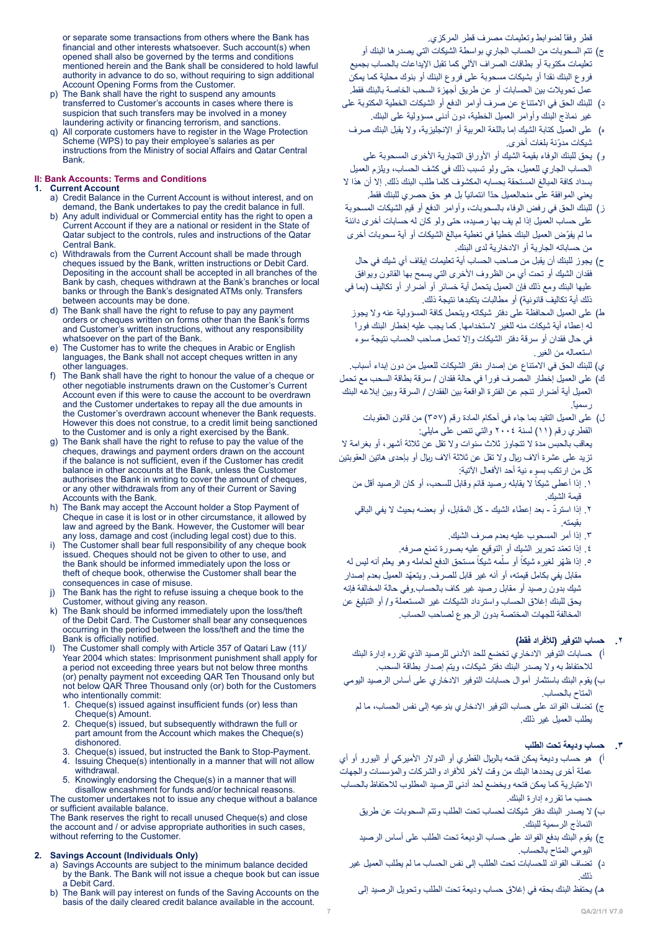قطر وفقاً لضوابط وتعليمات مصرف قطر المركزي.

- or separate some transactions from others where the Bank has financial and other interests whatsoever. Such account(s) when opened shall also be governed by the terms and conditions mentioned herein and the Bank shall be considered to hold lawful authority in advance to do so, without requiring to sign additional Account Opening Forms from the Customer.
- p) The Bank shall have the right to suspend any amounts transferred to Customer's accounts in cases where there is suspicion that such transfers may be involved in a money laundering activity or financing terrorism, and sanctions.
- All corporate customers have to register in the Wage Protection Scheme (WPS) to pay their employee's salaries as per instructions from the Ministry of social Affairs and Qatar Central .Bank

#### **II: Bank Accounts: Terms and Conditions**

## **Current Account**

- a) Credit Balance in the Current Account is without interest, and on demand, the Bank undertakes to pay the credit balance in full.
- b) Any adult individual or Commercial entity has the right to open a Current Account if they are a national or resident in the State of Qatar subject to the controls, rules and instructions of the Qatar **Central Bank.**
- c) Withdrawals from the Current Account shall be made through cheques issued by the Bank, written instructions or Debit Card. Depositing in the account shall be accepted in all branches of the Bank by cash, cheques withdrawn at the Bank's branches or local banks or through the Bank's designated ATMs only. Transfers between accounts may be done.
- d) The Bank shall have the right to refuse to pay any payment orders or cheques written on forms other than the Bank's forms and Customer's written instructions, without any responsibility whatsoever on the part of the Bank.
- e) The Customer has to write the cheques in Arabic or English languages, the Bank shall not accept cheques written in any other languages.
- f) The Bank shall have the right to honour the value of a cheque or other negotiable instruments drawn on the Customer's Current Account even if this were to cause the account to be overdrawn and the Customer undertakes to repay all the due amounts in the Customer's overdrawn account whenever the Bank requests. However this does not construe, to a credit limit being sanctioned to the Customer and is only a right exercised by the Bank.
- The Bank shall have the right to refuse to pay the value of the cheques, drawings and payment orders drawn on the account if the balance is not sufficient even if the Customer has credit balance in other accounts at the Bank, unless the Customer authorises the Bank in writing to cover the amount of cheques, or any other withdrawals from any of their Current or Saving Accounts with the Bank.
- h) The Bank may accept the Account holder a Stop Payment of Cheque in case it is lost or in other circumstance, it allowed by law and agreed by the Bank. However, the Customer will bear any loss, damage and cost (including legal cost) due to this.
- i) The Customer shall bear full responsibility of any cheque book issued. Cheques should not be given to other to use, and the Bank should be informed immediately upon the loss or theft of cheque book, otherwise the Customer shall bear the consequences in case of misuse.
- j) The Bank has the right to refuse issuing a cheque book to the Customer, without giving any reason.
- k) The Bank should be informed immediately upon the loss/theft of the Debit Card. The Customer shall bear any consequences occurring in the period between the loss/theft and the time the Bank is officially notified.
- The Customer shall comply with Article 357 of Qatari Law (11) Year 2004 which states: Imprisonment punishment shall apply for a period not exceeding three years but not below three months (or) penalty payment not exceeding QAR Ten Thousand only but not below QAR Three Thousand only (or) both for the Customers who intentionally commit:
	- 1. Cheque(s) issued against insufficient funds (or) less than  $Checu<sub>0</sub>(s)$  Amount
	- 2. Cheque(s) issued, but subsequently withdrawn the full or part amount from the Account which makes the Cheque(s) .dishonored
	- Cheque(s) issued, but instructed the Bank to Stop-Payment.
	- 4. Issuing Cheque(s) intentionally in a manner that will not allow .withdrawal
- 5. Knowingly endorsing the Cheque(s) in a manner that will disallow encashment for funds and/or technical reasons. The customer undertakes not to issue any cheque without a balance

or sufficient available balance The Bank reserves the right to recall unused Cheque(s) and close the account and / or advise appropriate authorities in such cases, without referring to the Customer.

#### **2. Savings Account (Individuals Only)**

- a) Savings Accounts are subject to the minimum balance decided by the Bank. The Bank will not issue a cheque book but can issue a Debit Card
- b) The Bank will pay interest on funds of the Saving Accounts on the basis of the daily cleared credit balance available in the account.
- ج( تتم السحوبات من الحساب الجاري بواسطة الشيكات التي يصدرها البنك أو تعليمات مكتوبة أو بطاقات الصراف اآللي كما تقبل اإليداعات بالحساب بجميع فروع البنك نقداً أو بشيكات مسحوبة على فروع البنك أو بنوك محلية كما يمكن عمل تحويالت بين الحسابات أو عن طريق أجهزة السحب الخاصة بالبنك فقط.
- د) للبنك الحق في الامتناع عن صرف أوامر الدفع أو الشيكات الخطية المكتوبة على غير نماذج البنك وأوامر العميل الخطية، دون أدنى مسؤولية على البنك.
- ه) على العميل كتابة الشيك إما باللغة العربية أو الإنجليزية، ولا يقبل البنك صرف شيكات مدوّنة بلغات أخرى.
- و) يحق للبنك الوفاء بقيمة الشيك أو الأوراق التجارية الأخرى المسحوبة على الحساب الجاري للعميل، حتى ولو تسبب ذلك في كشف الحساب، ويلزم العميل بسداد كافة المبالغ المستحقة بحسابه المكشوف كلما طلب البنك ذلك. إال أن هذا ال يعني الموافقة على منحالعميل حدّاً ائتمانياً بل هو حق حصري للبنك فقط.
- ز( للبنك الحق في رفض الوفاء بالسحوبات، وأوامر الدفع أو قيم الشيكات المسحوبة على حساب العميل إذا لم يف بها رصيده، حتى ولو كان له حسابات أخرى دائنة ما لم يفوّض العميل البنك خطياً في تغطية مبالغ الشيكات أو أية سحوبات أخرى من حساباته الجارية أو االدخارية لدى البنك.
- ح( يجوز للبنك أن يقبل من صاحب الحساب أية تعليمات إيقاف أي شيك في حال فقدان الشيك أو تحت أي من الظروف األخرى التي يسمح بها القانون ويوافق عليها البنك ومع ذلك فإن العميل يتحمل أية خسائر أو أضرار أو تكاليف )بما في ذلك أية تكاليف قانونية) أو مطالبات يتكبدها نتيجة ذلك.
- ط) على العميل المحافظة على دفتر شيكاته ويتحمل كافة المسؤولية عنه ولا يجوز له إعطاء أية شيكات منه للغير الستخدامها. كما يجب عليه إخطار البنك فوراً في حال فقدان أو سرقة دفتر الشيكات وإال تحمل صاحب الحساب نتيجة سوء استعماله من الغير.
- ي) للبنك الحق في الامتناع عن إصدار دفتر الشيكات للعميل من دون إبداء أسباب.
- ك) على العميل إخطار المصرف فوراً في حالة فقدان / سرقة بطاقة السحب مع تحمل العميل أية أضرار تنجم عن الفترة الواقعة بين الفقدان / السرقة وبين إبالغه البنك رسميا.ً
- ل) على العميل التقيد بما جاء في أحكام المادة رقم (٣٥٧) من قانون العقوبات القطري رقم )11( لسنة 2004 والتي تنص على مايلي: يعاقب بالحبس مدة ال تتجاوز ثالث سنوات وال تقل عن ثالثة أشهر، أو بغرامة ال تزيد على عشرة آلاف ريال ولا تقل عن ثلاثة آلاف ريال أو بإحدى هاتين العقوبتين كل من ارتكب بسوء نية أحد الأفعال الآتية:
	- ١. إذا أعطي شيكاً لا يقابله رصيد قائم وقابل للسحب، أو كان الرصيد أقل من قيمة الشيك.
	- .2 ّ إذا استرد بعد إعطاء الشيك كل المقابل، أو بعضه بحيث ال يفي الباقي بقيمته.
		- .3 إذا أمر المسحوب عليه بعدم صرف الشيك.
		- .4 ّ إذا تعمد تحرير الشيك أو التوقيع عليه بصورة تمنع صرفه.
- ه ٍ إذا ظهّر لغيره شيكاً أو سلّمه شيكاً مستحق الدفع لحامله و هو يعلم أنه ليس له ّ مقابل يفي بكامل قيمته، أو أنه غير قابل للصرف. ويتعهد العميل بعدم إصدار شيك بدون رصيد أو مقابل رصيد غير كاف بالحساب.وفي حالة المخالفة فإنه يحق للبنك إغالق الحساب واسترداد الشيكات غير المستعملة و/ أو التبليغ عن المخالفة للجهات المختصة بدون الرجوع لصاحب الحساب.

## **.2 حساب التوفير )لألفراد فقط(**

- أ) حسابات التوفير الادخاري تخضع للحد الأدنى للرصيد الذي تقرره إدارة البنك لالحتفاظ به وال يصدر البنك دفتر شيكات، ويتم إصدار بطاقة السحب.
- ب) يقوم البنك باستثمار أموال حسابات التوفير الادخاري على أساس الرصيد اليومي المتاح بالحساب.
	- ج) تضاف الفوائد على حساب التوفير الادخاري بنوعيه إلى نفس الحساب، ما لم يطلب العميل غير ذلك.

## **.3 حساب وديعة تحت الطلب**

- أ) هو حساب وديعة يمكن فتحه بالربإل القطري أو الدولار الأميركي أو اليورو أو أي عملة أخرى يحددها البنك من وقت آلخر لألفراد والشركات والمؤسسات والجهات االعتبارية كما يمكن فتحه ويخضع لحد أدنى للرصيد المطلوب لالحتفاظ بالحساب حسب ما تقرره إدارة البنك.
	- ب) لا يصدر البنك دفتر شيكات لحساب تحت الطلب وتتم السحوبات عن طريق النماذج الرسمية للبنك.
	- ج) يقوم البنك بدفع الفوائد على حساب الوديعة تحت الطلب على أساس الرصيد اليومي المتاح بالحساب.
	- د( تضاف الفوائد للحسابات تحت الطلب إلى نفس الحساب ما لم يطلب العميل غير ذلك.
		- هـ) يحتفظ البنك بحقه في إغلاق حساب وديعة تحت الطلب وتحويل الرصيد إلى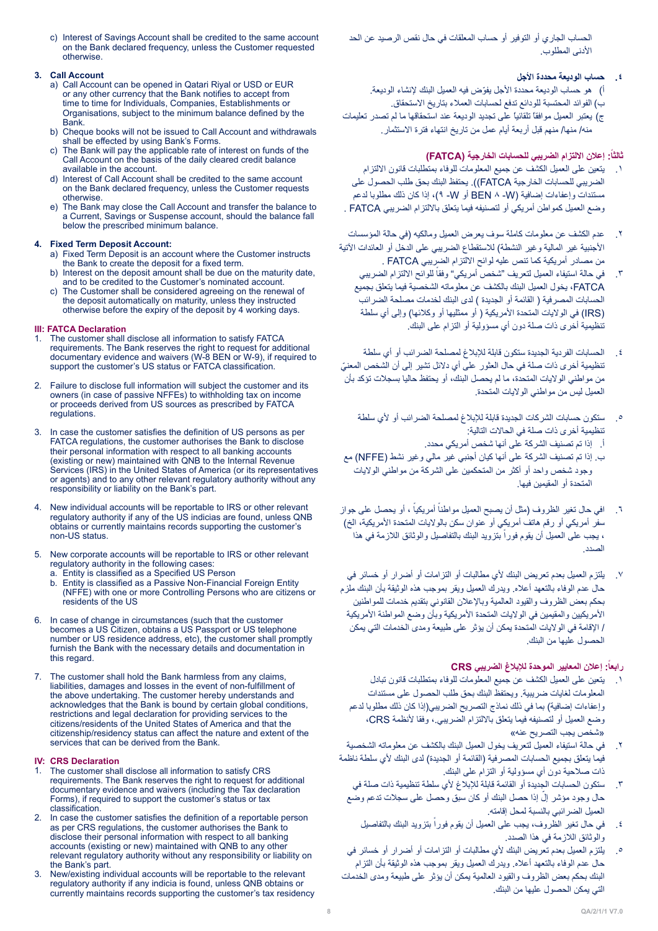الحساب الجاري أو التوفير أو حساب المعلقات في حال نقص الرصيد عن الحد األدنى المطلوب.

# **.4 حساب الوديعة محددة األجل**

أ) هو حساب الوديعة محددة الأجل يفوّض فيه العميل البنك لإنشاء الوديعة. ب) الفوائد المحتسبة للودائع تدفع لحسابات العملاء بتاريخ الاستحقاق. ج) يعتبر العميل موافقاً تلقائياً على تجديد الوديعة عند استحقاقها ما لم تصدر تعليمات منه/ منها/ منهم قبل أربعة أيام عمل من تاريخ انتهاء فترة االستثمار.

## **:ً إعالن االلتزام الضريبي للحسابات الخارجية )FATCA) ثالثا**

- .1 يتعين على العميل الكشف عن جميع المعلومات للوفاء بمتطلبات قانون االلتزام الضريبي للحسابات الخارجية FATCA)). يحتفظ البنك بحق طلب الحصول على مستندات وإعفاءات إضافية )W- 8 BEN أو W- 9)، إذا كان ذلك مطلوبا لدعم وضع العميل كمواطن أمريكي أو لتصنيفه فيما يتعلق بالالتزام الضريبي FATCA .
- .2 عدم الكشف عن معلومات كاملة سوف يعرض العميل ومالكيه )في حالة المؤسسات الأجنبية غير المالية وغير النشطة) للاستقطاع الضريبي على الدخل أو العائدات الآتية من مصادر أمريكية كما تنص عليه لوائح االلتزام الضريبي FATCA .
	- ٣. في حالة استيفاء العميل لتعريف "شخص أمريكي" وفقاً للوائح الالتزام الضريبي FATCA، يخول العميل البنك بالكشف عن معلوماته الشخصية فيما يتعلق بجميع الحسابات المصرفية ( القائمة أو الجديدة ) لدى البنك لخدمات مصلحة الضرائب )IRS )في الواليات المتحدة األمريكية ) أو ممثليها أو وكالئها( وإلى أي سلطة تنظيمية أخرى ذات صلة دون أي مسؤولية أو التزام على البنك.
- .4 الحسابات الفردية الجديدة ستكون قابلة لإلبالغ لمصلحة الضرائب أو أي سلطة ّ تنظيمية أخرى ذات صلة في حال العثور على أي دالئل تشير إلى أن الشخص المعني من مواطني الواليات المتحدة، ما لم يحصل البنك، أو يحتفظ حاليا بسجالت تؤكد بأن العميل ليس من مواطني الواليات المتحدة.
	- .5 ستكون حسابات الشركات الجديدة قابلة لإلبالغ لمصلحة الضرائب أو ألي سلطة تنظيمية أخرى ذات صلة في الحاالت التالية:
		- أ. إذا تم تصنيف الشركة على أنها شخص أمريكي محدد.
- ب. إذا تم تصنيف الشركة على أنها كيان أجنبي غير مالي وغير نشط )NFFE )مع وجود شخص واحد أو أكثر من المتحكمين على الشركة من مواطني الواليات المتحدة أو المقيمين فيها.
- ٦ . افي حال تغير الظروف (مثل أن يصبح العميل مواطناً أمريكياً ، أو يحصل على جواز سفر أمريكي أو رقم هاتف أمريكي أو عنوان سكن بالولايات المتحدة الأمريكية، الخ) ، يجب على العميل أن يقوم فوراً بتزويد البنك بالتفاصيل والوثائق اللازمة في هذا الصدد.
- .7 يلتزم العميل بعدم تعريض البنك ألي مطالبات أو التزامات أو أضرار أو خسائر في حال عدم الوفاء بالتعهد أعاله. ويدرك العميل ويقر بموجب هذه الوثيقة بأن البنك ملزم بحكم بعض الظروف والقيود العالمية وباإلعالن القانوني بتقديم خدمات للمواطنين الأمريكيين والمقيمين في الولايات المتحدة الأمريكية وبأن وضع المواطنة الأمريكية / اإلقامة في الواليات المتحدة يمكن أن يؤثر على طبيعة ومدى الخدمات التي يمكن الحصول عليها من البنك.

# **:ً إعالن المعايير الموحدة لإلبالغ الضريبي CRS رابعا**

- .1 يتعين على العميل الكشف عن جميع المعلومات للوفاء بمتطلبات قانون تبادل المعلومات لغايات ضريبية. ويحتفظ البنك بحق طلب الحصول على مستندات وإعفاءات إضافية) بما في ذلك نماذج التصريح الضريبي(إذا كان ذلك مطلوبا لدعم وضع العميل أو لتصنيفه فيما يتعلق بااللتزام الضريبي،. وفقا ألنظمة CRS، »شخص يجب التصريح عنه«
- .2 في حالة استيفاء العميل لتعريف يخول العميل البنك بالكشف عن معلوماته الشخصية فيما يتعلق بجميع الحسابات المصرفية (القائمة أو الجديدة) لدى البنك لأي سلطة ناظمة ذات صالحية دون أي مسؤولية أو التزام على البنك.
	- .3 ستكون الحسابات الجديدة أو القائمة قابلة لإلبالغ ألي سلطة تنظيمية ذات صلة في حال وجود مؤشر إلّ إذا حصل البنك أو كان سبّق وحصل على سجلات تدعم وضع العميل الضرائبي بالنسبة لمحل إقامته.
		- ٤ . في حال تغير الظروف، يجب على العميل أن يقوم فوراً بتزويد البنك بالتفاصيل والوثائق الالزمة في هذا الصدد.
- .5 يلتزم العميل بعدم تعريض البنك ألي مطالبات أو التزامات أو أضرار أو خسائر في حال عدم الوفاء بالتعهد أعاله. ويدرك العميل ويقر بموجب هذه الوثيقة بأن التزام البنك بحكم بعض الظروف والقيود العالمية يمكن أن يؤثر على طبيعة ومدى الخدمات التي يمكن الحصول عليها من البنك.

c) Interest of Savings Account shall be credited to the same account on the Bank declared frequency, unless the Customer requested .otherwise

## **Account Call 3.**

- a) Call Account can be opened in Qatari Riyal or USD or EUR or any other currency that the Bank notifies to accept from time to time for Individuals, Companies, Establishments or Organisations, subject to the minimum balance defined by the .Bank
- b) Cheque books will not be issued to Call Account and withdrawals shall be effected by using Bank's Forms.
- c) The Bank will pay the applicable rate of interest on funds of the Call Account on the basis of the daily cleared credit balance available in the account.
- d) Interest of Call Account shall be credited to the same account on the Bank declared frequency, unless the Customer requests otherwise.
- e) The Bank may close the Call Account and transfer the balance to a Current, Savings or Suspense account, should the balance fall below the prescribed minimum balance.

## **4. Fixed Term Deposit Account:**

- a) Fixed Term Deposit is an account where the Customer instructs the Bank to create the deposit for a fixed term.
- b) Interest on the deposit amount shall be due on the maturity date, and to be credited to the Customer's nominated account.
- The Customer shall be considered agreeing on the renewal of the deposit automatically on maturity, unless they instructed otherwise before the expiry of the deposit by 4 working days.

## **III: FATCA Declaration**

- The customer shall disclose all information to satisfy FATCA requirements. The Bank reserves the right to request for additional documentary evidence and waivers (W-8 BEN or W-9), if required to support the customer's US status or FATCA classification.
- 2. Failure to disclose full information will subject the customer and its in the come of the minimum complete the case with come owners (in case of passive NFFEs) to withholding tax on income or proceeds derived from US sources as prescribed by FATCA .regulations
- 3. In case the customer satisfies the definition of US persons as per FATCA regulations, the customer authorises the Bank to disclose their personal information with respect to all banking accounts (existing or new) maintained with QNB to the Internal Revenue Services (IRS) in the United States of America (or its representatives or agents) and to any other relevant regulatory authority without any responsibility or liability on the Bank's part.
- New individual accounts will be reportable to IRS or other relevant regulatory authority if any of the US indicias are found, unless QNB obtains or currently maintains records supporting the customer's non-US status.
- 5. New corporate accounts will be reportable to IRS or other relevant regulatory authority in the following cases:
	- a. Entity is classified as a Specified US Person<br>b. Entity is classified as a Passive Non-Financia Entity is classified as a Passive Non-Financial Foreign Entity (NFFE) with one or more Controlling Persons who are citizens or residents of the US
- In case of change in circumstances (such that the customer becomes a US Citizen, obtains a US Passport or US telephone number or US residence address, etc), the customer shall promptly furnish the Bank with the necessary details and documentation in this regard.
- 7. The customer shall hold the Bank harmless from any claims, liabilities, damages and losses in the event of non-fulfillment of the above undertaking. The customer hereby understands and acknowledges that the Bank is bound by certain global conditions, restrictions and legal declaration for providing services to the citizens/residents of the United States of America and that the citizenship/residency status can affect the nature and extent of the services that can be derived from the Bank.

# **IV:** CRS Declaration<br>1 The customer sha

- The customer shall disclose all information to satisfy CRS requirements. The Bank reserves the right to request for additional documentary evidence and waivers (including the Tax declaration Forms), if required to support the customer's status or tax .classification
- 2. In case the customer satisfies the definition of a reportable person as per CRS regulations, the customer authorises the Bank to disclose their personal information with respect to all banking accounts (existing or new) maintained with QNB to any other relevant regulatory authority without any responsibility or liability on the Bank's part.
- New/existing individual accounts will be reportable to the relevant regulatory authority if any indicia is found, unless QNB obtains or currently maintains records supporting the customer's tax residency